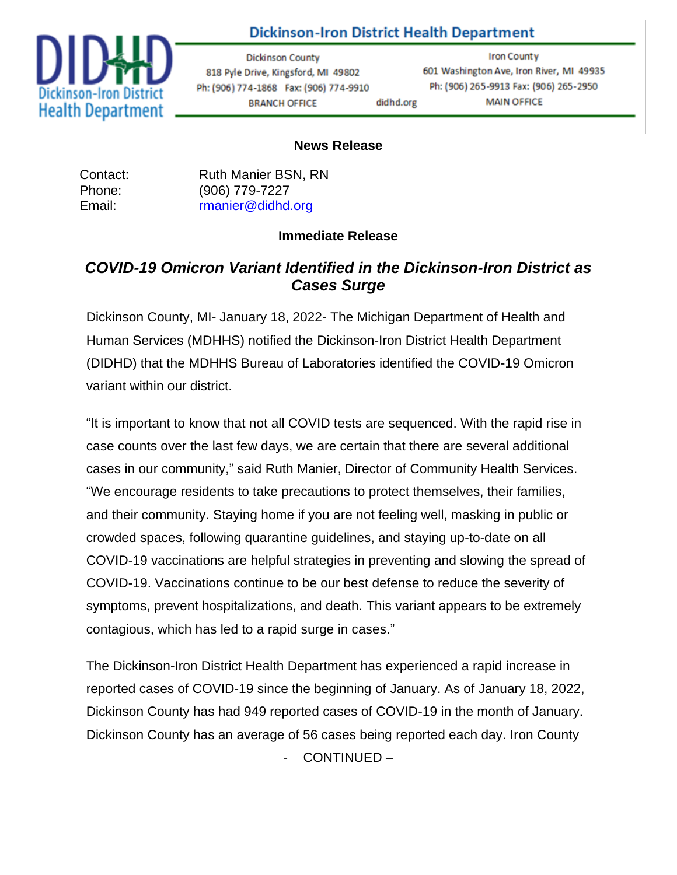

## **Dickinson-Iron District Health Department**

**Dickinson County** 818 Pyle Drive, Kingsford, MI 49802 Ph: (906) 774-1868 Fax: (906) 774-9910 **BRANCH OFFICE** didhd.org

**Iron County** 601 Washington Ave, Iron River, MI 49935 Ph: (906) 265-9913 Fax: (906) 265-2950 **MAIN OFFICE** 

## **News Release**

| Contact: | <b>Ruth Manier BSN, RN</b> |
|----------|----------------------------|
| Phone:   | (906) 779-7227             |
| Email:   | rmanier@didhd.org          |

## **Immediate Release**

## *COVID-19 Omicron Variant Identified in the Dickinson-Iron District as Cases Surge*

Dickinson County, MI- January 18, 2022- The Michigan Department of Health and Human Services (MDHHS) notified the Dickinson-Iron District Health Department (DIDHD) that the MDHHS Bureau of Laboratories identified the COVID-19 Omicron variant within our district.

"It is important to know that not all COVID tests are sequenced. With the rapid rise in case counts over the last few days, we are certain that there are several additional cases in our community," said Ruth Manier, Director of Community Health Services. "We encourage residents to take precautions to protect themselves, their families, and their community. Staying home if you are not feeling well, masking in public or crowded spaces, following quarantine guidelines, and staying up-to-date on all COVID-19 vaccinations are helpful strategies in preventing and slowing the spread of COVID-19. Vaccinations continue to be our best defense to reduce the severity of symptoms, prevent hospitalizations, and death. This variant appears to be extremely contagious, which has led to a rapid surge in cases."

The Dickinson-Iron District Health Department has experienced a rapid increase in reported cases of COVID-19 since the beginning of January. As of January 18, 2022, Dickinson County has had 949 reported cases of COVID-19 in the month of January. Dickinson County has an average of 56 cases being reported each day. Iron County - CONTINUED –